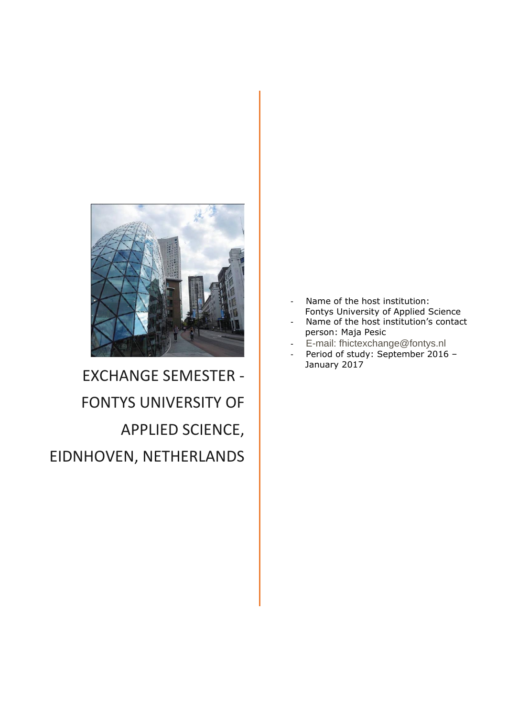

# EXCHANGE SEMESTER - FONTYS UNIVERSITY OF APPLIED SCIENCE, EIDNHOVEN, NETHERLANDS

- Name of the host institution: [Fontys University of Applie](mailto:toadermonica@gmail.com)d Science
- Name of the host institution's contact person: Maja Pesic
- E-mail: fhictexchange@fontys.nl
- Period of study: September 2016 January 2017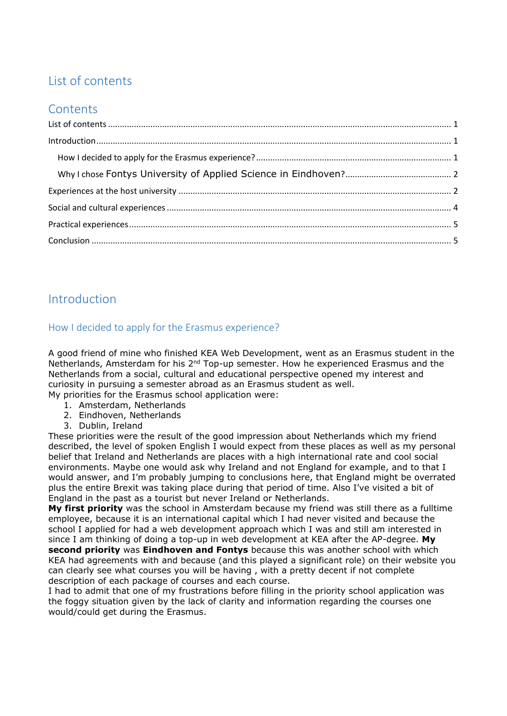## <span id="page-1-0"></span>List of contents

### **Contents**

## <span id="page-1-1"></span>Introduction

#### <span id="page-1-2"></span>How I decided to apply for the Erasmus experience?

A good friend of mine who finished KEA Web Development, went as an Erasmus student in the Netherlands, Amsterdam for his 2<sup>nd</sup> Top-up semester. How he experienced Erasmus and the Netherlands from a social, cultural and educational perspective opened my interest and curiosity in pursuing a semester abroad as an Erasmus student as well. My priorities for the Erasmus school application were:

- - 1. Amsterdam, Netherlands 2. Eindhoven, Netherlands
	-
	- 3. Dublin, Ireland

These priorities were the result of the good impression about Netherlands which my friend described, the level of spoken English I would expect from these places as well as my personal belief that Ireland and Netherlands are places with a high international rate and cool social environments. Maybe one would ask why Ireland and not England for example, and to that I would answer, and I'm probably jumping to conclusions here, that England might be overrated plus the entire Brexit was taking place during that period of time. Also I've visited a bit of England in the past as a tourist but never Ireland or Netherlands.

**My first priority** was the school in Amsterdam because my friend was still there as a fulltime employee, because it is an international capital which I had never visited and because the school I applied for had a web development approach which I was and still am interested in since I am thinking of doing a top-up in web development at KEA after the AP-degree. **My second priority** was **Eindhoven and Fontys** because this was another school with which KEA had agreements with and because (and this played a significant role) on their website you can clearly see what courses you will be having , with a pretty decent if not complete description of each package of courses and each course.

I had to admit that one of my frustrations before filling in the priority school application was the foggy situation given by the lack of clarity and information regarding the courses one would/could get during the Erasmus.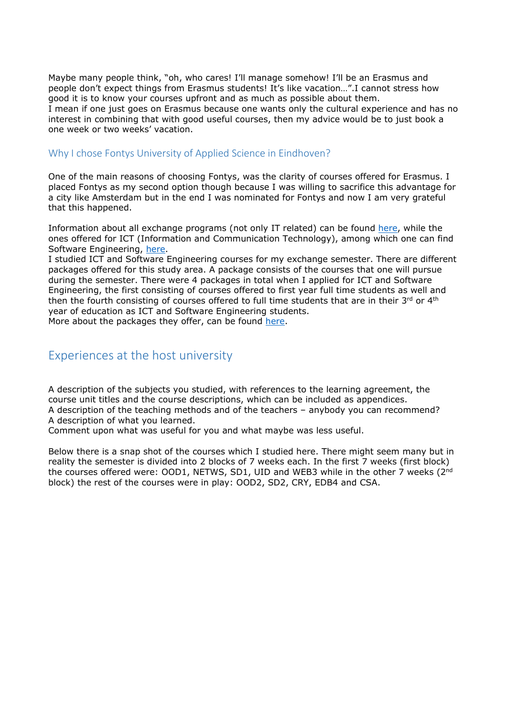Maybe many people think, "oh, who cares! I'll manage somehow! I'll be an Erasmus and people don't expect things from Erasmus students! It's like vacation…".I cannot stress how good it is to know your courses upfront and as much as possible about them. I mean if one just goes on Erasmus because one wants only the cultural experience and has no interest in combining that with good useful courses, then my advice would be to just book a one week or two weeks' vacation.

#### <span id="page-2-0"></span>Why I chose [Fontys University of Applied Science in Eindhoven?](https://fontys.edu/)

One of the main reasons of choosing Fontys, was the clarity of courses offered for Erasmus. I placed Fontys as my second option though because I was willing to sacrifice this advantage for a city like Amsterdam but in the end I was nominated for Fontys and now I am very grateful that this happened.

Information about all exchange programs (not only IT related) can be found [here,](https://fontys.edu/Short-term-programmes/Exchange-programmes.htm) while the ones offered for ICT (Information and Communication Technology), among which one can find Software Engineering, [here.](https://fontys.edu/Short-term-programmes/Exchange-programmes/ICT.htm)

I studied ICT and Software Engineering courses for my exchange semester. There are different packages offered for this study area. A package consists of the courses that one will pursue during the semester. There were 4 packages in total when I applied for ICT and Software Engineering, the first consisting of courses offered to first year full time students as well and then the fourth consisting of courses offered to full time students that are in their  $3<sup>rd</sup>$  or  $4<sup>th</sup>$ year of education as ICT and Software Engineering students.

More about the packages they offer, can be found [here.](https://fontys.edu/Short-term-programmes/Exchange-programmes/ICT-Software-Engineering-Eindhoven.htm)

#### <span id="page-2-1"></span>Experiences at the host university

A description of the subjects you studied, with references to the learning agreement, the course unit titles and the course descriptions, which can be included as appendices. A description of the teaching methods and of the teachers – anybody you can recommend? A description of what you learned.

Comment upon what was useful for you and what maybe was less useful.

Below there is a snap shot of the courses which I studied here. There might seem many but in reality the semester is divided into 2 blocks of 7 weeks each. In the first 7 weeks (first block) the courses offered were: OOD1, NETWS, SD1, UID and WEB3 while in the other  $\overline{7}$  weeks (2<sup>nd</sup>) block) the rest of the courses were in play: OOD2, SD2, CRY, EDB4 and CSA.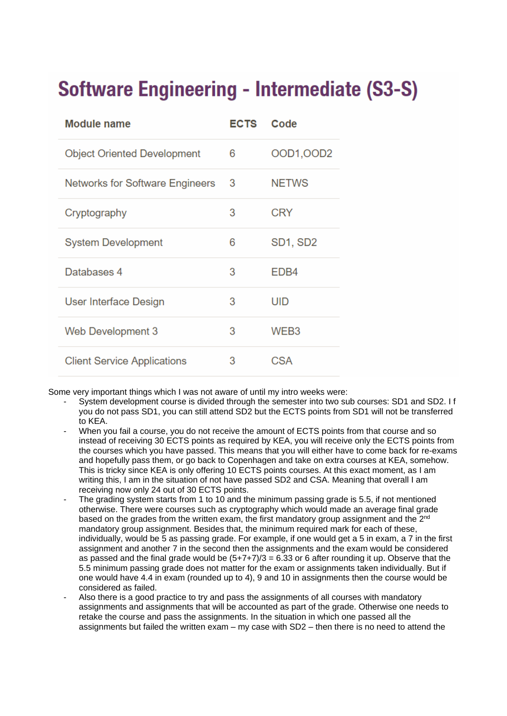# **Software Engineering - Intermediate (S3-S)**

| <b>Module name</b>                     | <b>ECTS</b> | Code             |
|----------------------------------------|-------------|------------------|
| <b>Object Oriented Development</b>     | 6           | OOD1, OOD2       |
| <b>Networks for Software Engineers</b> | 3           | <b>NETWS</b>     |
| Cryptography                           | 3           | <b>CRY</b>       |
| <b>System Development</b>              | 6           | SD1, SD2         |
| Databases 4                            | 3           | EDB <sub>4</sub> |
| User Interface Design                  | 3           | UID              |
| Web Development 3                      | 3           | WEB <sub>3</sub> |
| <b>Client Service Applications</b>     | 3           | CSA              |

Some very important things which I was not aware of until my intro weeks were:

- System development course is divided through the semester into two sub courses: SD1 and SD2. I f you do not pass SD1, you can still attend SD2 but the ECTS points from SD1 will not be transferred to KEA.
- When you fail a course, you do not receive the amount of ECTS points from that course and so instead of receiving 30 ECTS points as required by KEA, you will receive only the ECTS points from the courses which you have passed. This means that you will either have to come back for re-exams and hopefully pass them, or go back to Copenhagen and take on extra courses at KEA, somehow. This is tricky since KEA is only offering 10 ECTS points courses. At this exact moment, as I am writing this, I am in the situation of not have passed SD2 and CSA. Meaning that overall I am receiving now only 24 out of 30 ECTS points.
- The grading system starts from 1 to 10 and the minimum passing grade is 5.5, if not mentioned otherwise. There were courses such as cryptography which would made an average final grade based on the grades from the written exam, the first mandatory group assignment and the 2nd mandatory group assignment. Besides that, the minimum required mark for each of these, individually, would be 5 as passing grade. For example, if one would get a 5 in exam, a 7 in the first assignment and another 7 in the second then the assignments and the exam would be considered as passed and the final grade would be  $(5+7+7)/3 = 6.33$  or 6 after rounding it up. Observe that the 5.5 minimum passing grade does not matter for the exam or assignments taken individually. But if one would have 4.4 in exam (rounded up to 4), 9 and 10 in assignments then the course would be considered as failed.
- Also there is a good practice to try and pass the assignments of all courses with mandatory assignments and assignments that will be accounted as part of the grade. Otherwise one needs to retake the course and pass the assignments. In the situation in which one passed all the assignments but failed the written exam – my case with SD2 – then there is no need to attend the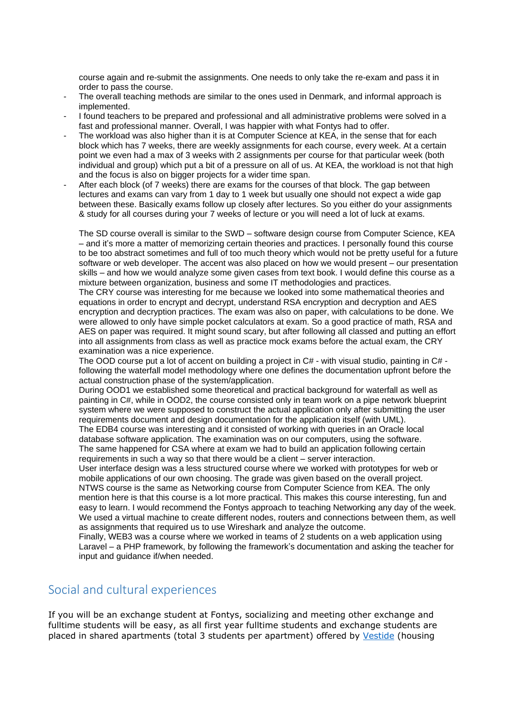course again and re-submit the assignments. One needs to only take the re-exam and pass it in order to pass the course.

- The overall teaching methods are similar to the ones used in Denmark, and informal approach is implemented.
- I found teachers to be prepared and professional and all administrative problems were solved in a fast and professional manner. Overall, I was happier with what Fontys had to offer.
- The workload was also higher than it is at Computer Science at KEA, in the sense that for each block which has 7 weeks, there are weekly assignments for each course, every week. At a certain point we even had a max of 3 weeks with 2 assignments per course for that particular week (both individual and group) which put a bit of a pressure on all of us. At KEA, the workload is not that high and the focus is also on bigger projects for a wider time span.
- After each block (of 7 weeks) there are exams for the courses of that block. The gap between lectures and exams can vary from 1 day to 1 week but usually one should not expect a wide gap between these. Basically exams follow up closely after lectures. So you either do your assignments & study for all courses during your 7 weeks of lecture or you will need a lot of luck at exams.

The SD course overall is similar to the SWD – software design course from Computer Science, KEA – and it's more a matter of memorizing certain theories and practices. I personally found this course to be too abstract sometimes and full of too much theory which would not be pretty useful for a future software or web developer. The accent was also placed on how we would present – our presentation skills – and how we would analyze some given cases from text book. I would define this course as a mixture between organization, business and some IT methodologies and practices.

The CRY course was interesting for me because we looked into some mathematical theories and equations in order to encrypt and decrypt, understand RSA encryption and decryption and AES encryption and decryption practices. The exam was also on paper, with calculations to be done. We were allowed to only have simple pocket calculators at exam. So a good practice of math, RSA and AES on paper was required. It might sound scary, but after following all classed and putting an effort into all assignments from class as well as practice mock exams before the actual exam, the CRY examination was a nice experience.

The OOD course put a lot of accent on building a project in C# - with visual studio, painting in C# following the waterfall model methodology where one defines the documentation upfront before the actual construction phase of the system/application.

During OOD1 we established some theoretical and practical background for waterfall as well as painting in C#, while in OOD2, the course consisted only in team work on a pipe network blueprint system where we were supposed to construct the actual application only after submitting the user requirements document and design documentation for the application itself (with UML).

The EDB4 course was interesting and it consisted of working with queries in an Oracle local database software application. The examination was on our computers, using the software. The same happened for CSA where at exam we had to build an application following certain requirements in such a way so that there would be a client – server interaction.

User interface design was a less structured course where we worked with prototypes for web or mobile applications of our own choosing. The grade was given based on the overall project. NTWS course is the same as Networking course from Computer Science from KEA. The only mention here is that this course is a lot more practical. This makes this course interesting, fun and easy to learn. I would recommend the Fontys approach to teaching Networking any day of the week. We used a virtual machine to create different nodes, routers and connections between them, as well as assignments that required us to use Wireshark and analyze the outcome.

Finally, WEB3 was a course where we worked in teams of 2 students on a web application using Laravel – a PHP framework, by following the framework's documentation and asking the teacher for input and guidance if/when needed.

#### <span id="page-4-0"></span>Social and cultural experiences

If you will be an exchange student at Fontys, socializing and meeting other exchange and fulltime students will be easy, as all first year fulltime students and exchange students are placed in shared apartments (total 3 students per apartment) offered by [Vestide](http://www.vestide.nl/Welkom/) (housing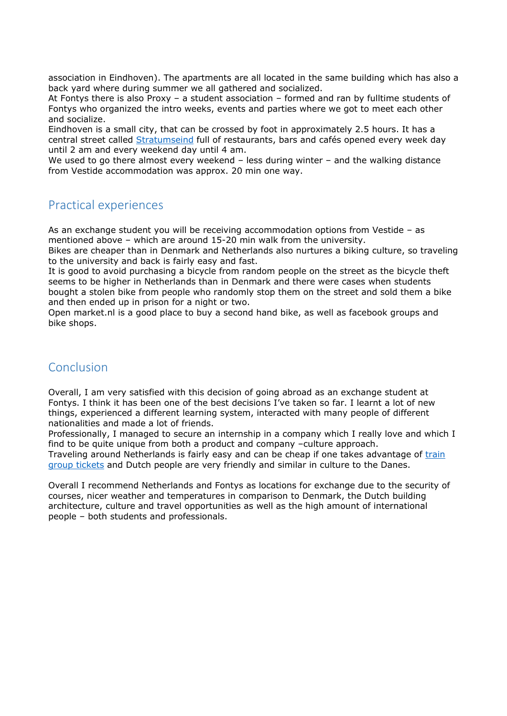association in Eindhoven). The apartments are all located in the same building which has also a back yard where during summer we all gathered and socialized.

At Fontys there is also Proxy – a student association – formed and ran by fulltime students of Fontys who organized the intro weeks, events and parties where we got to meet each other and socialize.

Eindhoven is a small city, that can be crossed by foot in approximately 2.5 hours. It has a central street called [Stratumseind](http://www.stratumseind.net/) full of restaurants, bars and cafés opened every week day until 2 am and every weekend day until 4 am.

We used to go there almost every weekend - less during winter - and the walking distance from Vestide accommodation was approx. 20 min one way.

#### <span id="page-5-0"></span>Practical experiences

As an exchange student you will be receiving accommodation options from Vestide – as mentioned above – which are around 15-20 min walk from the university.

Bikes are cheaper than in Denmark and Netherlands also nurtures a biking culture, so traveling to the university and back is fairly easy and fast.

It is good to avoid purchasing a bicycle from random people on the street as the bicycle theft seems to be higher in Netherlands than in Denmark and there were cases when students bought a stolen bike from people who randomly stop them on the street and sold them a bike and then ended up in prison for a night or two.

Open market.nl is a good place to buy a second hand bike, as well as facebook groups and bike shops.

### <span id="page-5-1"></span>Conclusion

Overall, I am very satisfied with this decision of going abroad as an exchange student at Fontys. I think it has been one of the best decisions I've taken so far. I learnt a lot of new things, experienced a different learning system, interacted with many people of different nationalities and made a lot of friends.

Professionally, I managed to secure an internship in a company which I really love and which I find to be quite unique from both a product and company –culture approach.

Traveling around Netherlands is fairly easy and can be cheap if one takes advantage of train [group tickets](http://pointstobemade.boardingarea.com/2013/10/22/exploiting-the-ns-group-return-ticket-e6-40-day-return-to-anywhere-within-nl/) and Dutch people are very friendly and similar in culture to the Danes.

Overall I recommend Netherlands and Fontys as locations for exchange due to the security of courses, nicer weather and temperatures in comparison to Denmark, the Dutch building architecture, culture and travel opportunities as well as the high amount of international people – both students and professionals.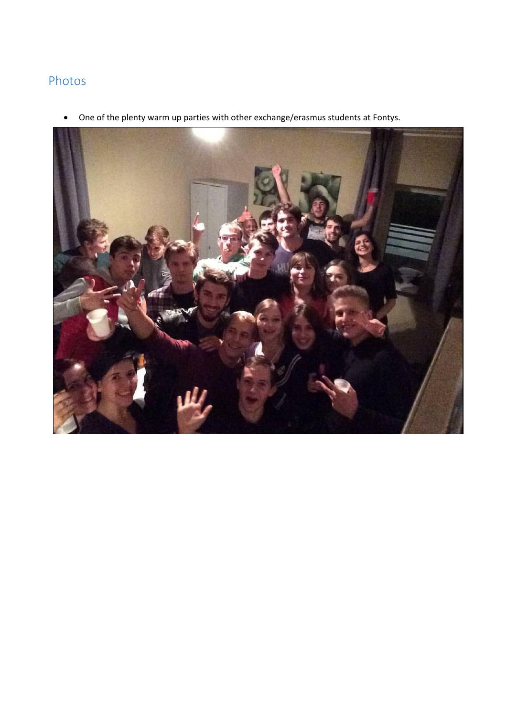## Photos

One of the plenty warm up parties with other exchange/erasmus students at Fontys.

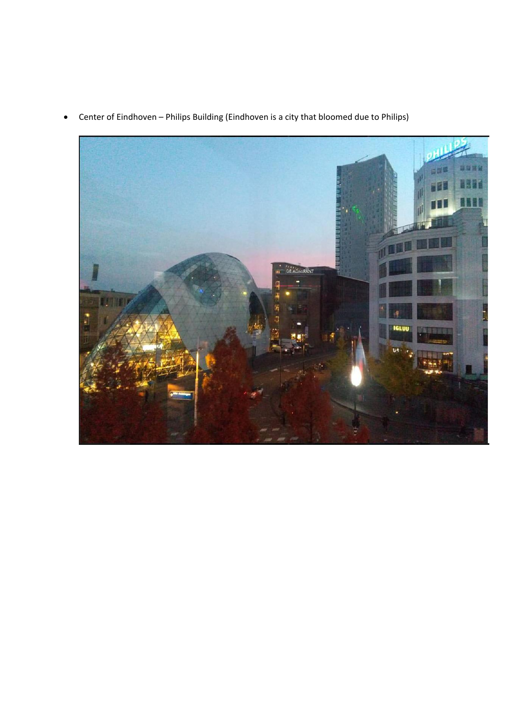

Center of Eindhoven – Philips Building (Eindhoven is a city that bloomed due to Philips)